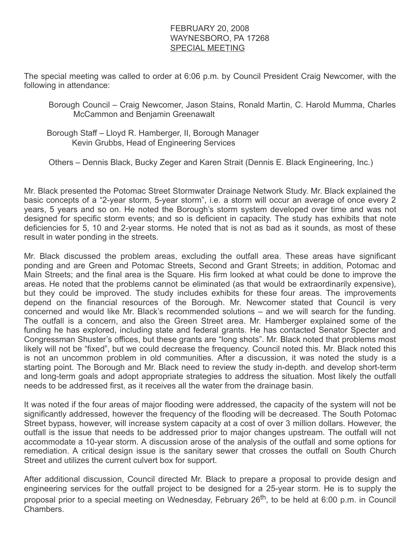## FEBRUARY 20, 2008 WAYNESBORO, PA 17268 SPECIAL MEETING

The special meeting was called to order at 6:06 p.m. by Council President Craig Newcomer, with the following in attendance:

Borough Council – Craig Newcomer, Jason Stains, Ronald Martin, C. Harold Mumma, Charles McCammon and Benjamin Greenawalt

 Borough Staff – Lloyd R. Hamberger, II, Borough Manager Kevin Grubbs, Head of Engineering Services

Others – Dennis Black, Bucky Zeger and Karen Strait (Dennis E. Black Engineering, Inc.)

Mr. Black presented the Potomac Street Stormwater Drainage Network Study. Mr. Black explained the basic concepts of a "2-year storm, 5-year storm", i.e. a storm will occur an average of once every 2 years, 5 years and so on. He noted the Borough's storm system developed over time and was not designed for specific storm events; and so is deficient in capacity. The study has exhibits that note deficiencies for 5, 10 and 2-year storms. He noted that is not as bad as it sounds, as most of these result in water ponding in the streets.

Mr. Black discussed the problem areas, excluding the outfall area. These areas have significant ponding and are Green and Potomac Streets, Second and Grant Streets; in addition, Potomac and Main Streets; and the final area is the Square. His firm looked at what could be done to improve the areas. He noted that the problems cannot be eliminated (as that would be extraordinarily expensive), but they could be improved. The study includes exhibits for these four areas. The improvements depend on the financial resources of the Borough. Mr. Newcomer stated that Council is very concerned and would like Mr. Black's recommended solutions – and we will search for the funding. The outfall is a concern, and also the Green Street area. Mr. Hamberger explained some of the funding he has explored, including state and federal grants. He has contacted Senator Specter and Congressman Shuster's offices, but these grants are "long shots". Mr. Black noted that problems most likely will not be "fixed", but we could decrease the frequency. Council noted this. Mr. Black noted this is not an uncommon problem in old communities. After a discussion, it was noted the study is a starting point. The Borough and Mr. Black need to review the study in-depth. and develop short-term and long-term goals and adopt appropriate strategies to address the situation. Most likely the outfall needs to be addressed first, as it receives all the water from the drainage basin.

It was noted if the four areas of major flooding were addressed, the capacity of the system will not be significantly addressed, however the frequency of the flooding will be decreased. The South Potomac Street bypass, however, will increase system capacity at a cost of over 3 million dollars. However, the outfall is the issue that needs to be addressed prior to major changes upstream. The outfall will not accommodate a 10-year storm. A discussion arose of the analysis of the outfall and some options for remediation. A critical design issue is the sanitary sewer that crosses the outfall on South Church Street and utilizes the current culvert box for support.

After additional discussion, Council directed Mr. Black to prepare a proposal to provide design and engineering services for the outfall project to be designed for a 25-year storm. He is to supply the proposal prior to a special meeting on Wednesday, February 26<sup>th</sup>, to be held at 6:00 p.m. in Council Chambers.